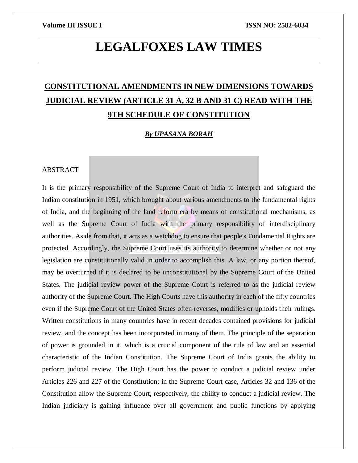# **LEGALFOXES LAW TIMES**

# **CONSTITUTIONAL AMENDMENTS IN NEW DIMENSIONS TOWARDS JUDICIAL REVIEW (ARTICLE 31 A, 32 B AND 31 C) READ WITH THE 9TH SCHEDULE OF CONSTITUTION**

# *By UPASANA BORAH*

# ABSTRACT

It is the primary responsibility of the Supreme Court of India to interpret and safeguard the Indian constitution in 1951, which brought about various amendments to the fundamental rights of India, and the beginning of the land reform era by means of constitutional mechanisms, as well as the Supreme Court of India with the primary responsibility of interdisciplinary authorities. Aside from that, it acts as a watchdog to ensure that people's Fundamental Rights are protected. Accordingly, the Supreme Court uses its authority to determine whether or not any legislation are constitutionally valid in order to accomplish this. A law, or any portion thereof, may be overturned if it is declared to be unconstitutional by the Supreme Court of the United States. The judicial review power of the Supreme Court is referred to as the judicial review authority of the Supreme Court. The High Courts have this authority in each of the fifty countries even if the Supreme Court of the United States often reverses, modifies or upholds their rulings. Written constitutions in many countries have in recent decades contained provisions for judicial review, and the concept has been incorporated in many of them. The principle of the separation of power is grounded in it, which is a crucial component of the rule of law and an essential characteristic of the Indian Constitution. The Supreme Court of India grants the ability to perform judicial review. The High Court has the power to conduct a judicial review under Articles 226 and 227 of the Constitution; in the Supreme Court case, Articles 32 and 136 of the Constitution allow the Supreme Court, respectively, the ability to conduct a judicial review. The Indian judiciary is gaining influence over all government and public functions by applying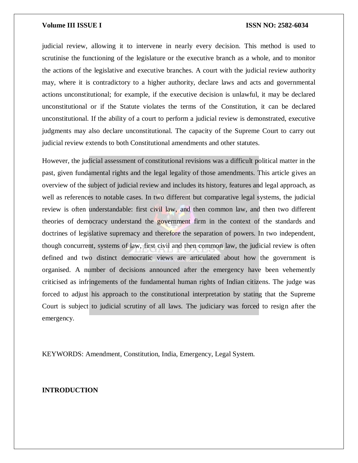judicial review, allowing it to intervene in nearly every decision. This method is used to scrutinise the functioning of the legislature or the executive branch as a whole, and to monitor the actions of the legislative and executive branches. A court with the judicial review authority may, where it is contradictory to a higher authority, declare laws and acts and governmental actions unconstitutional; for example, if the executive decision is unlawful, it may be declared unconstitutional or if the Statute violates the terms of the Constitution, it can be declared unconstitutional. If the ability of a court to perform a judicial review is demonstrated, executive judgments may also declare unconstitutional. The capacity of the Supreme Court to carry out judicial review extends to both Constitutional amendments and other statutes.

However, the judicial assessment of constitutional revisions was a difficult political matter in the past, given fundamental rights and the legal legality of those amendments. This article gives an overview of the subject of judicial review and includes its history, features and legal approach, as well as references to notable cases. In two different but comparative legal systems, the judicial review is often understandable: first civil law, and then common law, and then two different theories of democracy understand the government firm in the context of the standards and doctrines of legislative supremacy and therefore the separation of powers. In two independent, though concurrent, systems of law, first civil and then common law, the judicial review is often defined and two distinct democratic views are articulated about how the government is organised. A number of decisions announced after the emergency have been vehemently criticised as infringements of the fundamental human rights of Indian citizens. The judge was forced to adjust his approach to the constitutional interpretation by stating that the Supreme Court is subject to judicial scrutiny of all laws. The judiciary was forced to resign after the emergency.

KEYWORDS: Amendment, Constitution, India, Emergency, Legal System.

**INTRODUCTION**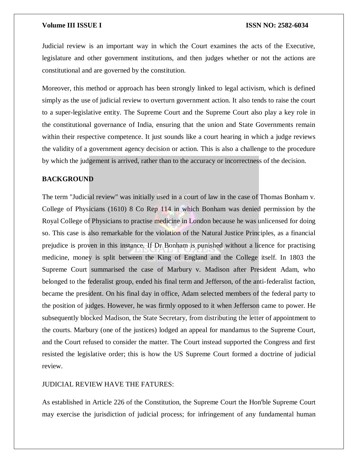Judicial review is an important way in which the Court examines the acts of the Executive, legislature and other government institutions, and then judges whether or not the actions are constitutional and are governed by the constitution.

Moreover, this method or approach has been strongly linked to legal activism, which is defined simply as the use of judicial review to overturn government action. It also tends to raise the court to a super-legislative entity. The Supreme Court and the Supreme Court also play a key role in the constitutional governance of India, ensuring that the union and State Governments remain within their respective competence. It just sounds like a court hearing in which a judge reviews the validity of a government agency decision or action. This is also a challenge to the procedure by which the judgement is arrived, rather than to the accuracy or incorrectness of the decision.

## **BACKGROUND**

The term "Judicial review" was initially used in a court of law in the case of Thomas Bonham v. College of Physicians (1610) 8 Co Rep 114 in which Bonham was denied permission by the Royal College of Physicians to practise medicine in London because he was unlicensed for doing so. This case is also remarkable for the violation of the Natural Justice Principles, as a financial prejudice is proven in this instance. If Dr Bonham is punished without a licence for practising medicine, money is split between the King of England and the College itself. In 1803 the Supreme Court summarised the case of Marbury v. Madison after President Adam, who belonged to the federalist group, ended his final term and Jefferson, of the anti-federalist faction, became the president. On his final day in office, Adam selected members of the federal party to the position of judges. However, he was firmly opposed to it when Jefferson came to power. He subsequently blocked Madison, the State Secretary, from distributing the letter of appointment to the courts. Marbury (one of the justices) lodged an appeal for mandamus to the Supreme Court, and the Court refused to consider the matter. The Court instead supported the Congress and first resisted the legislative order; this is how the US Supreme Court formed a doctrine of judicial review.

## JUDICIAL REVIEW HAVE THE FATURES:

As established in Article 226 of the Constitution, the Supreme Court the Hon'ble Supreme Court may exercise the jurisdiction of judicial process; for infringement of any fundamental human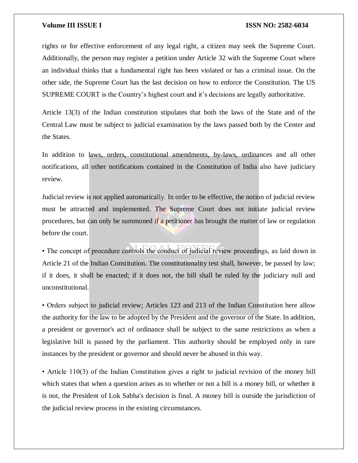rights or for effective enforcement of any legal right, a citizen may seek the Supreme Court. Additionally, the person may register a petition under Article 32 with the Supreme Court where an individual thinks that a fundamental right has been violated or has a criminal issue. On the other side, the Supreme Court has the last decision on how to enforce the Constitution. The US SUPREME COURT is the Country's highest court and it's decisions are legally authoritative.

Article 13(3) of the Indian constitution stipulates that both the laws of the State and of the Central Law must be subject to judicial examination by the laws passed both by the Center and the States.

In addition to laws, orders, constitutional amendments, by-laws, ordinances and all other notifications, all other notifications contained in the Constitution of India also have judiciary review.

Judicial review is not applied automatically. In order to be effective, the notion of judicial review must be attracted and implemented. The Supreme Court does not initiate judicial review procedures, but can only be summoned if a petitioner has brought the matter of law or regulation before the court.

• The concept of procedure controls the conduct of judicial review proceedings, as laid down in Article 21 of the Indian Constitution. The constitutionality test shall, however, be passed by law; if it does, it shall be enacted; if it does not, the bill shall be ruled by the judiciary null and unconstitutional.

• Orders subject to judicial review; Articles 123 and 213 of the Indian Constitution here allow the authority for the law to be adopted by the President and the governor of the State. In addition, a president or governor's act of ordinance shall be subject to the same restrictions as when a legislative bill is passed by the parliament. This authority should be employed only in rare instances by the president or governor and should never be abused in this way.

• Article 110(3) of the Indian Constitution gives a right to judicial revision of the money bill which states that when a question arises as to whether or not a bill is a money bill, or whether it is not, the President of Lok Sabha's decision is final. A money bill is outside the jurisdiction of the judicial review process in the existing circumstances.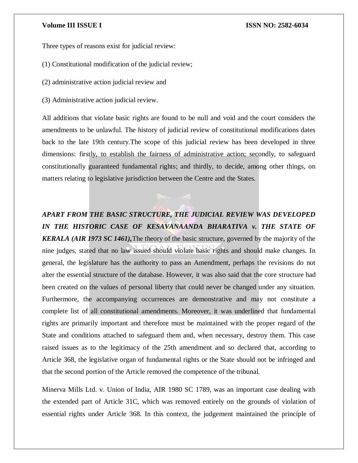Three types of reasons exist for judicial review:

- (1) Constitutional modification of the judicial review;
- (2) administrative action judicial review and
- (3) Administrative action judicial review.

All additions that violate basic rights are found to be null and void and the court considers the amendments to be unlawful. The history of judicial review of constitutional modifications dates back to the late 19th century.The scope of this judicial review has been developed in three dimensions: firstly, to establish the fairness of administrative action; secondly, to safeguard constitutionally guaranteed fundamental rights; and thirdly, to decide, among other things, on matters relating to legislative jurisdiction between the Centre and the States.

*APART FROM THE BASIC STRUCTURE, THE JUDICIAL REVIEW WAS DEVELOPED*  IN THE HISTORIC CASE OF KESAVANAANDA BHARATIVA v. THE STATE OF *KERALA (AIR 1973 SC 1461),*The theory of the basic structure, governed by the majority of the nine judges, stated that no law issued should violate basic rights and should make changes. In general, the legislature has the authority to pass an Amendment, perhaps the revisions do not alter the essential structure of the database. However, it was also said that the core structure had been created on the values of personal liberty that could never be changed under any situation. Furthermore, the accompanying occurrences are demonstrative and may not constitute a complete list of all constitutional amendments. Moreover, it was underlined that fundamental rights are primarily important and therefore must be maintained with the proper regard of the State and conditions attached to safeguard them and, when necessary, destroy them. This case raised issues as to the legitimacy of the 25th amendment and so declared that, according to Article 368, the legislative organ of fundamental rights or the State should not be infringed and that the second portion of the Article removed the competence of the tribunal.

Minerva Mills Ltd. v. Union of India, AIR 1980 SC 1789, was an important case dealing with the extended part of Article 31C, which was removed entirely on the grounds of violation of essential rights under Article 368. In this context, the judgement maintained the principle of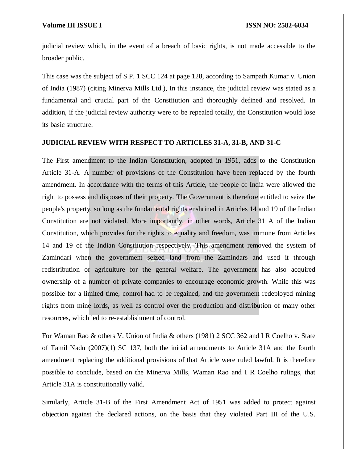judicial review which, in the event of a breach of basic rights, is not made accessible to the broader public.

This case was the subject of S.P. 1 SCC 124 at page 128, according to Sampath Kumar v. Union of India (1987) (citing Minerva Mills Ltd.), In this instance, the judicial review was stated as a fundamental and crucial part of the Constitution and thoroughly defined and resolved. In addition, if the judicial review authority were to be repealed totally, the Constitution would lose its basic structure.

# **JUDICIAL REVIEW WITH RESPECT TO ARTICLES 31-A, 31-B, AND 31-C**

The First amendment to the Indian Constitution, adopted in 1951, adds to the Constitution Article 31-A. A number of provisions of the Constitution have been replaced by the fourth amendment. In accordance with the terms of this Article, the people of India were allowed the right to possess and disposes of their property. The Government is therefore entitled to seize the people's property, so long as the fundamental rights enshrined in Articles 14 and 19 of the Indian Constitution are not violated. More importantly, in other words, Article 31 A of the Indian Constitution, which provides for the rights to equality and freedom, was immune from Articles 14 and 19 of the Indian Constitution respectively. This amendment removed the system of Zamindari when the government seized land from the Zamindars and used it through redistribution or agriculture for the general welfare. The government has also acquired ownership of a number of private companies to encourage economic growth. While this was possible for a limited time, control had to be regained, and the government redeployed mining rights from mine lords, as well as control over the production and distribution of many other resources, which led to re-establishment of control.

For Waman Rao & others V. Union of India & others (1981) 2 SCC 362 and I R Coelho v. State of Tamil Nadu (2007)(1) SC 137, both the initial amendments to Article 31A and the fourth amendment replacing the additional provisions of that Article were ruled lawful. It is therefore possible to conclude, based on the Minerva Mills, Waman Rao and I R Coelho rulings, that Article 31A is constitutionally valid.

Similarly, Article 31-B of the First Amendment Act of 1951 was added to protect against objection against the declared actions, on the basis that they violated Part III of the U.S.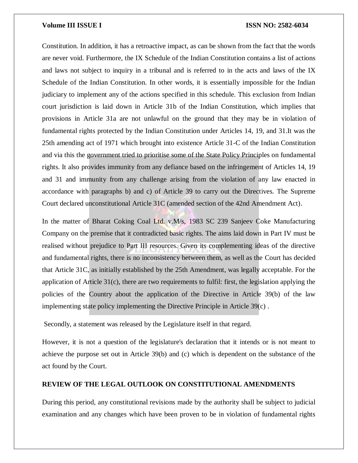Constitution. In addition, it has a retroactive impact, as can be shown from the fact that the words are never void. Furthermore, the IX Schedule of the Indian Constitution contains a list of actions and laws not subject to inquiry in a tribunal and is referred to in the acts and laws of the IX Schedule of the Indian Constitution. In other words, it is essentially impossible for the Indian judiciary to implement any of the actions specified in this schedule. This exclusion from Indian court jurisdiction is laid down in Article 31b of the Indian Constitution, which implies that provisions in Article 31a are not unlawful on the ground that they may be in violation of fundamental rights protected by the Indian Constitution under Articles 14, 19, and 31.It was the 25th amending act of 1971 which brought into existence Article 31-C of the Indian Constitution and via this the government tried to prioritise some of the State Policy Principles on fundamental rights. It also provides immunity from any defiance based on the infringement of Articles 14, 19 and 31 and immunity from any challenge arising from the violation of any law enacted in accordance with paragraphs b) and c) of Article 39 to carry out the Directives. The Supreme Court declared unconstitutional Article 31C (amended section of the 42nd Amendment Act).

In the matter of Bharat Coking Coal Ltd. v.M/s, 1983 SC 239 Sanjeev Coke Manufacturing Company on the premise that it contradicted basic rights. The aims laid down in Part IV must be realised without prejudice to Part III resources. Given its complementing ideas of the directive and fundamental rights, there is no inconsistency between them, as well as the Court has decided that Article 31C, as initially established by the 25th Amendment, was legally acceptable. For the application of Article 31(c), there are two requirements to fulfil: first, the legislation applying the policies of the Country about the application of the Directive in Article 39(b) of the law implementing state policy implementing the Directive Principle in Article 39(c) .

Secondly, a statement was released by the Legislature itself in that regard.

However, it is not a question of the legislature's declaration that it intends or is not meant to achieve the purpose set out in Article 39(b) and (c) which is dependent on the substance of the act found by the Court.

# **REVIEW OF THE LEGAL OUTLOOK ON CONSTITUTIONAL AMENDMENTS**

During this period, any constitutional revisions made by the authority shall be subject to judicial examination and any changes which have been proven to be in violation of fundamental rights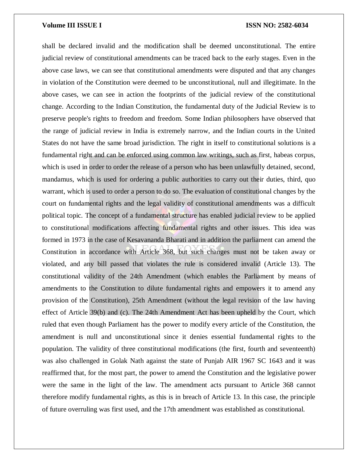shall be declared invalid and the modification shall be deemed unconstitutional. The entire judicial review of constitutional amendments can be traced back to the early stages. Even in the above case laws, we can see that constitutional amendments were disputed and that any changes in violation of the Constitution were deemed to be unconstitutional, null and illegitimate. In the above cases, we can see in action the footprints of the judicial review of the constitutional change. According to the Indian Constitution, the fundamental duty of the Judicial Review is to preserve people's rights to freedom and freedom. Some Indian philosophers have observed that the range of judicial review in India is extremely narrow, and the Indian courts in the United States do not have the same broad jurisdiction. The right in itself to constitutional solutions is a fundamental right and can be enforced using common law writings, such as first, habeas corpus, which is used in order to order the release of a person who has been unlawfully detained, second, mandamus, which is used for ordering a public authorities to carry out their duties, third, quo warrant, which is used to order a person to do so. The evaluation of constitutional changes by the court on fundamental rights and the legal validity of constitutional amendments was a difficult political topic. The concept of a fundamental structure has enabled judicial review to be applied to constitutional modifications affecting fundamental rights and other issues. This idea was formed in 1973 in the case of Kesavananda Bharati and in addition the parliament can amend the Constitution in accordance with Article 368, but such changes must not be taken away or violated, and any bill passed that violates the rule is considered invalid (Article 13). The constitutional validity of the 24th Amendment (which enables the Parliament by means of amendments to the Constitution to dilute fundamental rights and empowers it to amend any provision of the Constitution), 25th Amendment (without the legal revision of the law having effect of Article 39(b) and (c). The 24th Amendment Act has been upheld by the Court, which ruled that even though Parliament has the power to modify every article of the Constitution, the amendment is null and unconstitutional since it denies essential fundamental rights to the population. The validity of three constitutional modifications (the first, fourth and seventeenth) was also challenged in Golak Nath against the state of Punjab AIR 1967 SC 1643 and it was reaffirmed that, for the most part, the power to amend the Constitution and the legislative power were the same in the light of the law. The amendment acts pursuant to Article 368 cannot therefore modify fundamental rights, as this is in breach of Article 13. In this case, the principle of future overruling was first used, and the 17th amendment was established as constitutional.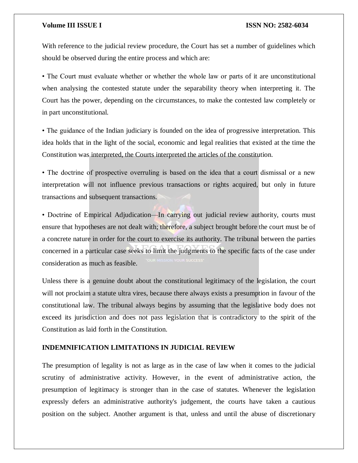With reference to the judicial review procedure, the Court has set a number of guidelines which should be observed during the entire process and which are:

• The Court must evaluate whether or whether the whole law or parts of it are unconstitutional when analysing the contested statute under the separability theory when interpreting it. The Court has the power, depending on the circumstances, to make the contested law completely or in part unconstitutional.

• The guidance of the Indian judiciary is founded on the idea of progressive interpretation. This idea holds that in the light of the social, economic and legal realities that existed at the time the Constitution was interpreted, the Courts interpreted the articles of the constitution.

• The doctrine of prospective overruling is based on the idea that a court dismissal or a new interpretation will not influence previous transactions or rights acquired, but only in future transactions and subsequent transactions.

• Doctrine of Empirical Adjudication—In carrying out judicial review authority, courts must ensure that hypotheses are not dealt with; therefore, a subject brought before the court must be of a concrete nature in order for the court to exercise its authority. The tribunal between the parties concerned in a particular case seeks to limit the judgments to the specific facts of the case under consideration as much as feasible.

Unless there is a genuine doubt about the constitutional legitimacy of the legislation, the court will not proclaim a statute ultra vires, because there always exists a presumption in favour of the constitutional law. The tribunal always begins by assuming that the legislative body does not exceed its jurisdiction and does not pass legislation that is contradictory to the spirit of the Constitution as laid forth in the Constitution.

# **INDEMNIFICATION LIMITATIONS IN JUDICIAL REVIEW**

The presumption of legality is not as large as in the case of law when it comes to the judicial scrutiny of administrative activity. However, in the event of administrative action, the presumption of legitimacy is stronger than in the case of statutes. Whenever the legislation expressly defers an administrative authority's judgement, the courts have taken a cautious position on the subject. Another argument is that, unless and until the abuse of discretionary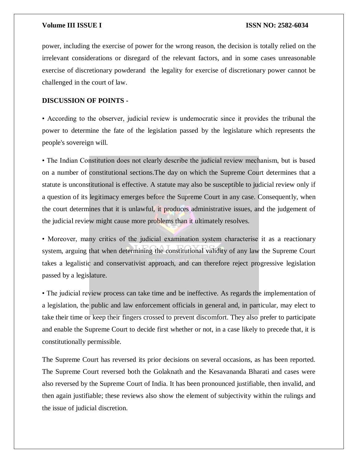power, including the exercise of power for the wrong reason, the decision is totally relied on the irrelevant considerations or disregard of the relevant factors, and in some cases unreasonable exercise of discretionary powderand the legality for exercise of discretionary power cannot be challenged in the court of law.

# **DISCUSSION OF POINTS -**

• According to the observer, judicial review is undemocratic since it provides the tribunal the power to determine the fate of the legislation passed by the legislature which represents the people's sovereign will.

• The Indian Constitution does not clearly describe the judicial review mechanism, but is based on a number of constitutional sections.The day on which the Supreme Court determines that a statute is unconstitutional is effective. A statute may also be susceptible to judicial review only if a question of its legitimacy emerges before the Supreme Court in any case. Consequently, when the court determines that it is unlawful, it produces administrative issues, and the judgement of the judicial review might cause more problems than it ultimately resolves.

• Moreover, many critics of the judicial examination system characterise it as a reactionary system, arguing that when determining the constitutional validity of any law the Supreme Court takes a legalistic and conservativist approach, and can therefore reject progressive legislation passed by a legislature.

• The judicial review process can take time and be ineffective. As regards the implementation of a legislation, the public and law enforcement officials in general and, in particular, may elect to take their time or keep their fingers crossed to prevent discomfort. They also prefer to participate and enable the Supreme Court to decide first whether or not, in a case likely to precede that, it is constitutionally permissible.

The Supreme Court has reversed its prior decisions on several occasions, as has been reported. The Supreme Court reversed both the Golaknath and the Kesavananda Bharati and cases were also reversed by the Supreme Court of India. It has been pronounced justifiable, then invalid, and then again justifiable; these reviews also show the element of subjectivity within the rulings and the issue of judicial discretion.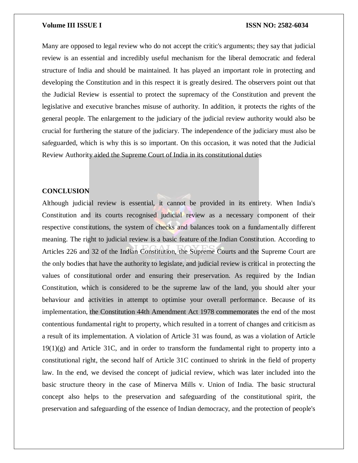Many are opposed to legal review who do not accept the critic's arguments; they say that judicial review is an essential and incredibly useful mechanism for the liberal democratic and federal structure of India and should be maintained. It has played an important role in protecting and developing the Constitution and in this respect it is greatly desired. The observers point out that the Judicial Review is essential to protect the supremacy of the Constitution and prevent the legislative and executive branches misuse of authority. In addition, it protects the rights of the general people. The enlargement to the judiciary of the judicial review authority would also be crucial for furthering the stature of the judiciary. The independence of the judiciary must also be safeguarded, which is why this is so important. On this occasion, it was noted that the Judicial Review Authority aided the Supreme Court of India in its constitutional duties

# **CONCLUSION**

Although judicial review is essential, it cannot be provided in its entirety. When India's Constitution and its courts recognised judicial review as a necessary component of their respective constitutions, the system of checks and balances took on a fundamentally different meaning. The right to judicial review is a basic feature of the Indian Constitution. According to Articles 226 and 32 of the Indian Constitution, the Supreme Courts and the Supreme Court are the only bodies that have the authority to legislate, and judicial review is critical in protecting the values of constitutional order and ensuring their preservation. As required by the Indian Constitution, which is considered to be the supreme law of the land, you should alter your behaviour and activities in attempt to optimise your overall performance. Because of its implementation, the Constitution 44th Amendment Act 1978 commemorates the end of the most contentious fundamental right to property, which resulted in a torrent of changes and criticism as a result of its implementation. A violation of Article 31 was found, as was a violation of Article  $19(1)(g)$  and Article 31C, and in order to transform the fundamental right to property into a constitutional right, the second half of Article 31C continued to shrink in the field of property law. In the end, we devised the concept of judicial review, which was later included into the basic structure theory in the case of Minerva Mills v. Union of India. The basic structural concept also helps to the preservation and safeguarding of the constitutional spirit, the preservation and safeguarding of the essence of Indian democracy, and the protection of people's